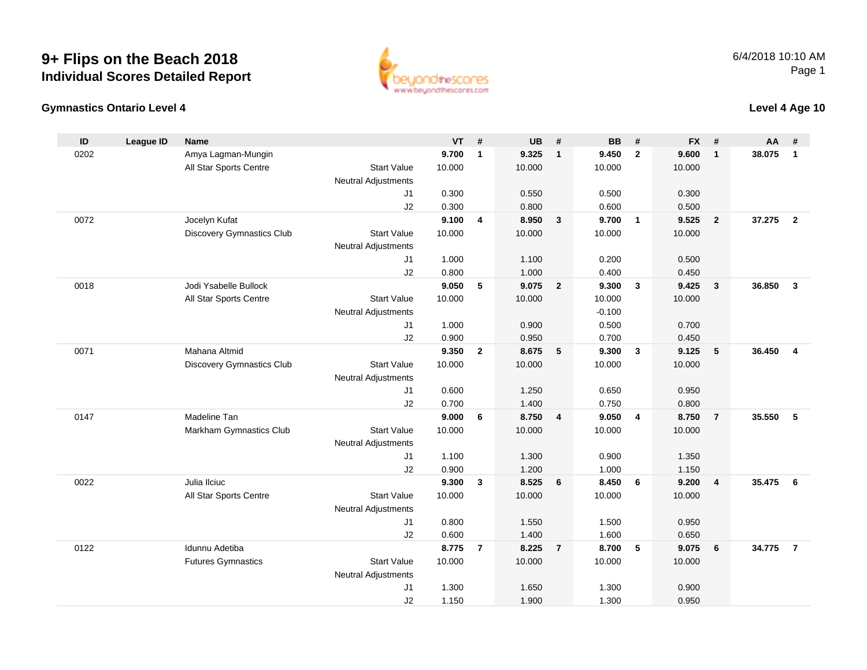

#### **Gymnastics Ontario Level 4**

| ID   | League ID | <b>Name</b>                      |                            | VT             | #              | <b>UB</b>      | #               | <b>BB</b>      | #                       | <b>FX</b>      | #                       | AA     | #                       |
|------|-----------|----------------------------------|----------------------------|----------------|----------------|----------------|-----------------|----------------|-------------------------|----------------|-------------------------|--------|-------------------------|
| 0202 |           | Amya Lagman-Mungin               |                            | 9.700          | $\mathbf{1}$   | 9.325          | $\mathbf{1}$    | 9.450          | $\overline{2}$          | 9.600          | $\overline{1}$          | 38.075 | $\overline{1}$          |
|      |           | All Star Sports Centre           | <b>Start Value</b>         | 10.000         |                | 10.000         |                 | 10.000         |                         | 10.000         |                         |        |                         |
|      |           |                                  | <b>Neutral Adjustments</b> |                |                |                |                 |                |                         |                |                         |        |                         |
|      |           |                                  | J1                         | 0.300          |                | 0.550          |                 | 0.500          |                         | 0.300          |                         |        |                         |
|      |           |                                  | J2                         | 0.300          |                | 0.800          |                 | 0.600          |                         | 0.500          |                         |        |                         |
| 0072 |           | Jocelyn Kufat                    |                            | 9.100          | 4              | 8.950          | $\mathbf{3}$    | 9.700          | $\overline{1}$          | 9.525          | $\overline{2}$          | 37.275 | $\overline{2}$          |
|      |           | <b>Discovery Gymnastics Club</b> | <b>Start Value</b>         | 10.000         |                | 10.000         |                 | 10.000         |                         | 10.000         |                         |        |                         |
|      |           |                                  | <b>Neutral Adjustments</b> |                |                |                |                 |                |                         |                |                         |        |                         |
|      |           |                                  | J1                         | 1.000          |                | 1.100          |                 | 0.200          |                         | 0.500          |                         |        |                         |
|      |           |                                  | J2                         | 0.800          |                | 1.000          |                 | 0.400          |                         | 0.450          |                         |        |                         |
| 0018 |           | Jodi Ysabelle Bullock            |                            | 9.050          | 5              | 9.075          | $\overline{2}$  | 9.300          | $\mathbf{3}$            | 9.425          | $\overline{\mathbf{3}}$ | 36.850 | $\overline{\mathbf{3}}$ |
|      |           | All Star Sports Centre           | <b>Start Value</b>         | 10.000         |                | 10.000         |                 | 10.000         |                         | 10.000         |                         |        |                         |
|      |           |                                  | <b>Neutral Adjustments</b> |                |                |                |                 | $-0.100$       |                         |                |                         |        |                         |
|      |           |                                  | J1                         | 1.000          |                | 0.900          |                 | 0.500          |                         | 0.700          |                         |        |                         |
|      |           |                                  | J2                         | 0.900          |                | 0.950          |                 | 0.700          |                         | 0.450          |                         |        |                         |
| 0071 |           | Mahana Altmid                    |                            | 9.350          | $\mathbf{2}$   | 8.675          | 5               | 9.300          | $\overline{\mathbf{3}}$ | 9.125          | $5\phantom{.0}$         | 36.450 | $\overline{\mathbf{4}}$ |
|      |           | <b>Discovery Gymnastics Club</b> | <b>Start Value</b>         | 10.000         |                | 10.000         |                 | 10.000         |                         | 10.000         |                         |        |                         |
|      |           |                                  | <b>Neutral Adjustments</b> |                |                |                |                 |                |                         |                |                         |        |                         |
|      |           |                                  | J1<br>J2                   | 0.600<br>0.700 |                | 1.250<br>1.400 |                 | 0.650<br>0.750 |                         | 0.950<br>0.800 |                         |        |                         |
| 0147 |           | Madeline Tan                     |                            | 9.000          | 6              | 8.750          | $\overline{4}$  | 9.050          | $\overline{4}$          | 8.750          | $\overline{7}$          | 35.550 | 5                       |
|      |           | Markham Gymnastics Club          | <b>Start Value</b>         | 10.000         |                | 10.000         |                 | 10.000         |                         | 10.000         |                         |        |                         |
|      |           |                                  | <b>Neutral Adjustments</b> |                |                |                |                 |                |                         |                |                         |        |                         |
|      |           |                                  | J1                         | 1.100          |                | 1.300          |                 | 0.900          |                         | 1.350          |                         |        |                         |
|      |           |                                  | J2                         | 0.900          |                | 1.200          |                 | 1.000          |                         | 1.150          |                         |        |                         |
| 0022 |           | Julia Ilciuc                     |                            | 9.300          | $\mathbf{3}$   | 8.525          | $6\phantom{1}6$ | 8.450          | 6                       | 9.200          | $\overline{4}$          | 35.475 | 6                       |
|      |           | All Star Sports Centre           | <b>Start Value</b>         | 10.000         |                | 10.000         |                 | 10.000         |                         | 10.000         |                         |        |                         |
|      |           |                                  | <b>Neutral Adjustments</b> |                |                |                |                 |                |                         |                |                         |        |                         |
|      |           |                                  | J1                         | 0.800          |                | 1.550          |                 | 1.500          |                         | 0.950          |                         |        |                         |
|      |           |                                  | J2                         | 0.600          |                | 1.400          |                 | 1.600          |                         | 0.650          |                         |        |                         |
| 0122 |           | Idunnu Adetiba                   |                            | 8.775          | $\overline{7}$ | 8.225          | $\overline{7}$  | 8.700          | $5\phantom{.0}$         | 9.075          | 6                       | 34.775 | $\overline{7}$          |
|      |           | <b>Futures Gymnastics</b>        | <b>Start Value</b>         | 10.000         |                | 10.000         |                 | 10.000         |                         | 10.000         |                         |        |                         |
|      |           |                                  | <b>Neutral Adjustments</b> |                |                |                |                 |                |                         |                |                         |        |                         |
|      |           |                                  | J <sub>1</sub>             | 1.300          |                | 1.650          |                 | 1.300          |                         | 0.900          |                         |        |                         |
|      |           |                                  | J2                         | 1.150          |                | 1.900          |                 | 1.300          |                         | 0.950          |                         |        |                         |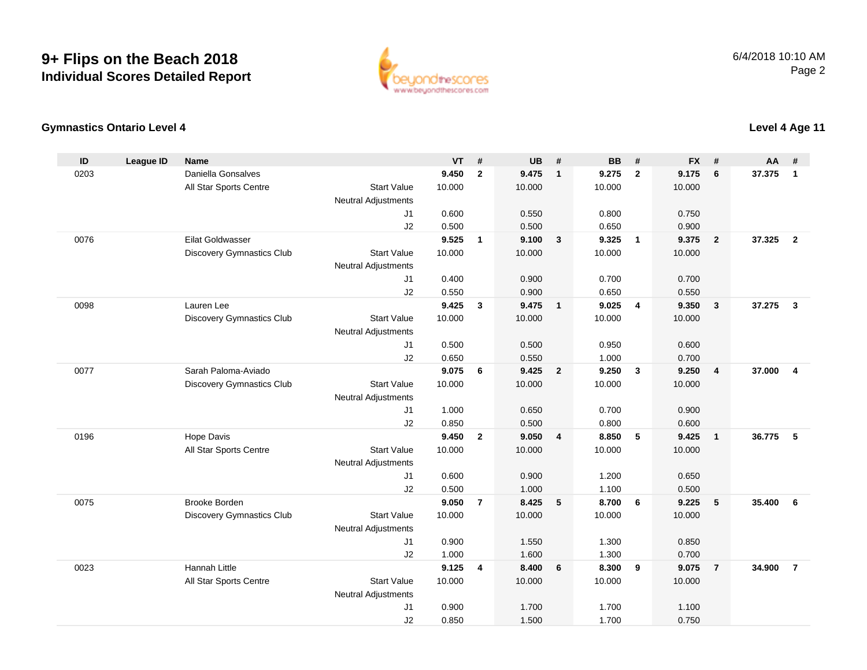

#### **Gymnastics Ontario Level 4**

| ID   | <b>League ID</b> | <b>Name</b>                      |                                              | <b>VT</b>      | #              | <b>UB</b>      | #                       | <b>BB</b>      | #                       | <b>FX</b>      | #              | <b>AA</b> | #                       |
|------|------------------|----------------------------------|----------------------------------------------|----------------|----------------|----------------|-------------------------|----------------|-------------------------|----------------|----------------|-----------|-------------------------|
| 0203 |                  | Daniella Gonsalves               |                                              | 9.450          | $\overline{2}$ | 9.475          | $\overline{1}$          | 9.275          | $\overline{2}$          | 9.175          | 6              | 37.375    | 1                       |
|      |                  | All Star Sports Centre           | <b>Start Value</b>                           | 10.000         |                | 10.000         |                         | 10.000         |                         | 10.000         |                |           |                         |
|      |                  |                                  | <b>Neutral Adjustments</b>                   |                |                |                |                         |                |                         |                |                |           |                         |
|      |                  |                                  | J <sub>1</sub>                               | 0.600          |                | 0.550          |                         | 0.800          |                         | 0.750          |                |           |                         |
|      |                  |                                  | J2                                           | 0.500          |                | 0.500          |                         | 0.650          |                         | 0.900          |                |           |                         |
| 0076 |                  | <b>Eilat Goldwasser</b>          |                                              | 9.525          | $\mathbf{1}$   | 9.100          | $\overline{\mathbf{3}}$ | 9.325          | $\overline{1}$          | 9.375          | $\overline{2}$ | 37.325    | $\overline{2}$          |
|      |                  | <b>Discovery Gymnastics Club</b> | <b>Start Value</b>                           | 10.000         |                | 10.000         |                         | 10.000         |                         | 10.000         |                |           |                         |
|      |                  |                                  | <b>Neutral Adjustments</b>                   |                |                |                |                         |                |                         |                |                |           |                         |
|      |                  |                                  | J1                                           | 0.400          |                | 0.900          |                         | 0.700          |                         | 0.700          |                |           |                         |
|      |                  |                                  | J2                                           | 0.550          |                | 0.900          |                         | 0.650          |                         | 0.550          |                |           |                         |
| 0098 |                  | Lauren Lee                       |                                              | 9.425          | 3              | 9.475          | $\overline{1}$          | 9.025          | $\overline{4}$          | 9.350          | $\mathbf{3}$   | 37.275    | $\mathbf{3}$            |
|      |                  | <b>Discovery Gymnastics Club</b> | <b>Start Value</b>                           | 10.000         |                | 10.000         |                         | 10.000         |                         | 10.000         |                |           |                         |
|      |                  |                                  | Neutral Adjustments                          |                |                |                |                         |                |                         |                |                |           |                         |
|      |                  |                                  | J <sub>1</sub>                               | 0.500          |                | 0.500          |                         | 0.950          |                         | 0.600          |                |           |                         |
|      |                  |                                  | J2                                           | 0.650          |                | 0.550          |                         | 1.000          |                         | 0.700          |                |           |                         |
| 0077 |                  | Sarah Paloma-Aviado              |                                              | 9.075          | 6              | 9.425          | $\overline{2}$          | 9.250          | $\overline{\mathbf{3}}$ | 9.250          | $\overline{4}$ | 37.000    | $\overline{\mathbf{4}}$ |
|      |                  | <b>Discovery Gymnastics Club</b> | <b>Start Value</b>                           | 10.000         |                | 10.000         |                         | 10.000         |                         | 10.000         |                |           |                         |
|      |                  |                                  | <b>Neutral Adjustments</b>                   |                |                |                |                         |                |                         |                |                |           |                         |
|      |                  |                                  | J1                                           | 1.000          |                | 0.650          |                         | 0.700          |                         | 0.900          |                |           |                         |
|      |                  |                                  | J2                                           | 0.850          |                | 0.500          |                         | 0.800          |                         | 0.600          |                |           |                         |
| 0196 |                  | Hope Davis                       |                                              | 9.450          | $\mathbf{2}$   | 9.050          | $\overline{\mathbf{4}}$ | 8.850          | $5\phantom{1}$          | 9.425          | $\mathbf{1}$   | 36.775    | 5                       |
|      |                  | All Star Sports Centre           | <b>Start Value</b>                           | 10.000         |                | 10.000         |                         | 10.000         |                         | 10.000         |                |           |                         |
|      |                  |                                  | <b>Neutral Adjustments</b>                   |                |                |                |                         |                |                         |                |                |           |                         |
|      |                  |                                  | J1                                           | 0.600          |                | 0.900          |                         | 1.200          |                         | 0.650          |                |           |                         |
|      |                  | <b>Brooke Borden</b>             | J2                                           | 0.500          |                | 1.000          |                         | 1.100          |                         | 0.500          |                |           |                         |
| 0075 |                  |                                  |                                              | 9.050          | $\overline{7}$ | 8.425          | 5                       | 8.700          | 6                       | 9.225          | 5              | 35.400    | 6                       |
|      |                  | <b>Discovery Gymnastics Club</b> | <b>Start Value</b>                           | 10.000         |                | 10.000         |                         | 10.000         |                         | 10.000         |                |           |                         |
|      |                  |                                  | <b>Neutral Adjustments</b>                   |                |                |                |                         |                |                         |                |                |           |                         |
|      |                  |                                  | J1                                           | 0.900          |                | 1.550          |                         | 1.300          |                         | 0.850          |                |           |                         |
| 0023 |                  | <b>Hannah Little</b>             | J2                                           | 1.000<br>9.125 | $\overline{4}$ | 1.600<br>8.400 | 6                       | 1.300<br>8.300 | 9                       | 0.700<br>9.075 | $\overline{7}$ | 34.900    | $\overline{7}$          |
|      |                  |                                  | <b>Start Value</b>                           |                |                |                |                         |                |                         |                |                |           |                         |
|      |                  | All Star Sports Centre           |                                              | 10.000         |                | 10.000         |                         | 10.000         |                         | 10.000         |                |           |                         |
|      |                  |                                  | <b>Neutral Adjustments</b><br>J <sub>1</sub> | 0.900          |                | 1.700          |                         | 1.700          |                         | 1.100          |                |           |                         |
|      |                  |                                  | J2                                           | 0.850          |                | 1.500          |                         | 1.700          |                         | 0.750          |                |           |                         |
|      |                  |                                  |                                              |                |                |                |                         |                |                         |                |                |           |                         |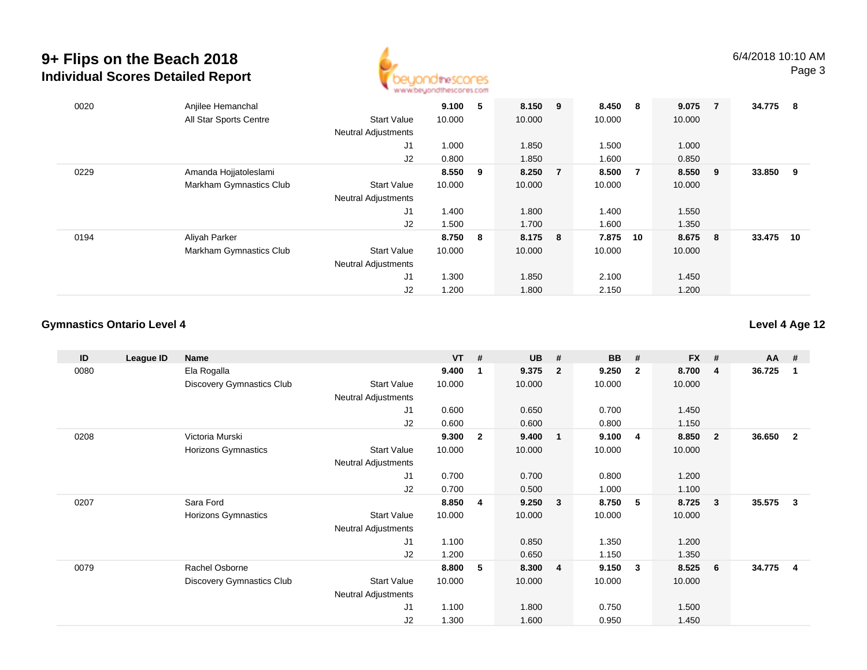

| 0020 | Anjilee Hemanchal       |                            | 9.100   | 5   | 8.150   | 9              | 8.450  | - 8            | 9.075  | 7   | 34.775 | 8  |
|------|-------------------------|----------------------------|---------|-----|---------|----------------|--------|----------------|--------|-----|--------|----|
|      | All Star Sports Centre  | <b>Start Value</b>         | 10.000  |     | 10.000  |                | 10.000 |                | 10.000 |     |        |    |
|      |                         | <b>Neutral Adjustments</b> |         |     |         |                |        |                |        |     |        |    |
|      |                         | J1                         | 1.000   |     | 1.850   |                | 1.500  |                | 1.000  |     |        |    |
|      |                         | J2                         | 0.800   |     | 1.850   |                | 1.600  |                | 0.850  |     |        |    |
| 0229 | Amanda Hojjatoleslami   |                            | 8.550 9 |     | 8.250   | $\overline{7}$ | 8.500  | $\overline{7}$ | 8.550  | - 9 | 33.850 | 9  |
|      | Markham Gymnastics Club | <b>Start Value</b>         | 10.000  |     | 10.000  |                | 10.000 |                | 10.000 |     |        |    |
|      |                         | <b>Neutral Adjustments</b> |         |     |         |                |        |                |        |     |        |    |
|      |                         | J <sub>1</sub>             | 1.400   |     | 1.800   |                | 1.400  |                | 1.550  |     |        |    |
|      |                         | J2                         | 1.500   |     | 1.700   |                | 1.600  |                | 1.350  |     |        |    |
| 0194 | Aliyah Parker           |                            | 8.750   | - 8 | 8.175 8 |                | 7.875  | 10             | 8.675  | - 8 | 33.475 | 10 |
|      | Markham Gymnastics Club | <b>Start Value</b>         | 10.000  |     | 10.000  |                | 10.000 |                | 10.000 |     |        |    |
|      |                         | <b>Neutral Adjustments</b> |         |     |         |                |        |                |        |     |        |    |
|      |                         | J1                         | 1.300   |     | 1.850   |                | 2.100  |                | 1.450  |     |        |    |
|      |                         | J2                         | 1.200   |     | 1.800   |                | 2.150  |                | 1.200  |     |        |    |

#### **Gymnastics Ontario Level 4**

| ID   | League ID | Name                             |                            | <b>VT</b> | #            | <b>UB</b> | #              | <b>BB</b> | #                       | <b>FX</b> | #                       | AA     | #                       |
|------|-----------|----------------------------------|----------------------------|-----------|--------------|-----------|----------------|-----------|-------------------------|-----------|-------------------------|--------|-------------------------|
| 0080 |           | Ela Rogalla                      |                            | 9.400     | 1            | 9.375     | $\overline{2}$ | 9.250     | $\overline{\mathbf{2}}$ | 8.700     | $\overline{4}$          | 36.725 | -1                      |
|      |           | <b>Discovery Gymnastics Club</b> | <b>Start Value</b>         | 10.000    |              | 10.000    |                | 10.000    |                         | 10.000    |                         |        |                         |
|      |           |                                  | Neutral Adjustments        |           |              |           |                |           |                         |           |                         |        |                         |
|      |           |                                  | J1                         | 0.600     |              | 0.650     |                | 0.700     |                         | 1.450     |                         |        |                         |
|      |           |                                  | J2                         | 0.600     |              | 0.600     |                | 0.800     |                         | 1.150     |                         |        |                         |
| 0208 |           | Victoria Murski                  |                            | 9.300     | $\mathbf{2}$ | 9.400     | $\mathbf{1}$   | 9.100     | $\overline{\mathbf{4}}$ | 8.850     | $\overline{\mathbf{2}}$ | 36.650 | $\overline{\mathbf{2}}$ |
|      |           | Horizons Gymnastics              | <b>Start Value</b>         | 10.000    |              | 10.000    |                | 10.000    |                         | 10.000    |                         |        |                         |
|      |           |                                  | <b>Neutral Adjustments</b> |           |              |           |                |           |                         |           |                         |        |                         |
|      |           |                                  | J1                         | 0.700     |              | 0.700     |                | 0.800     |                         | 1.200     |                         |        |                         |
|      |           |                                  | J2                         | 0.700     |              | 0.500     |                | 1.000     |                         | 1.100     |                         |        |                         |
| 0207 |           | Sara Ford                        |                            | 8.850     | 4            | 9.250     | $\mathbf{3}$   | 8.750     | 5                       | 8.725     | $\overline{\mathbf{3}}$ | 35.575 | -3                      |
|      |           | Horizons Gymnastics              | <b>Start Value</b>         | 10.000    |              | 10.000    |                | 10.000    |                         | 10.000    |                         |        |                         |
|      |           |                                  | <b>Neutral Adjustments</b> |           |              |           |                |           |                         |           |                         |        |                         |
|      |           |                                  | J1                         | 1.100     |              | 0.850     |                | 1.350     |                         | 1.200     |                         |        |                         |
|      |           |                                  | J2                         | 1.200     |              | 0.650     |                | 1.150     |                         | 1.350     |                         |        |                         |
| 0079 |           | Rachel Osborne                   |                            | 8.800     | 5            | 8.300     | $\overline{4}$ | 9.150     | $\mathbf{3}$            | 8.525     | 6                       | 34.775 | $\overline{\mathbf{4}}$ |
|      |           | <b>Discovery Gymnastics Club</b> | Start Value                | 10.000    |              | 10.000    |                | 10.000    |                         | 10.000    |                         |        |                         |
|      |           |                                  | Neutral Adjustments        |           |              |           |                |           |                         |           |                         |        |                         |
|      |           |                                  | J1                         | 1.100     |              | 1.800     |                | 0.750     |                         | 1.500     |                         |        |                         |
|      |           |                                  | J2                         | 1.300     |              | 1.600     |                | 0.950     |                         | 1.450     |                         |        |                         |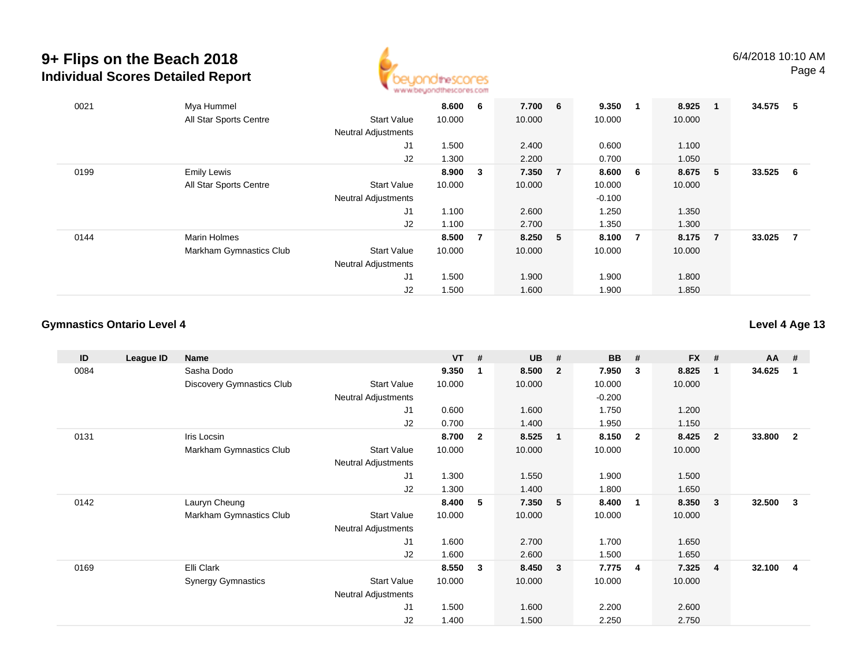

| 0021 | Mya Hummel              |                            | 8.600  | -6             | 7.700 6 | 9.350    |                | 8.925  | - 1            | 34.575 | - 5 |
|------|-------------------------|----------------------------|--------|----------------|---------|----------|----------------|--------|----------------|--------|-----|
|      | All Star Sports Centre  | <b>Start Value</b>         | 10.000 |                | 10.000  | 10.000   |                | 10.000 |                |        |     |
|      |                         | <b>Neutral Adjustments</b> |        |                |         |          |                |        |                |        |     |
|      |                         | J1                         | 1.500  |                | 2.400   | 0.600    |                | 1.100  |                |        |     |
|      |                         | J2                         | 1.300  |                | 2.200   | 0.700    |                | 1.050  |                |        |     |
| 0199 | <b>Emily Lewis</b>      |                            | 8.900  | 3              | 7.350 7 | 8.600    | 6              | 8.675  | - 5            | 33.525 | - 6 |
|      | All Star Sports Centre  | <b>Start Value</b>         | 10.000 |                | 10.000  | 10.000   |                | 10.000 |                |        |     |
|      |                         | <b>Neutral Adjustments</b> |        |                |         | $-0.100$ |                |        |                |        |     |
|      |                         | J1                         | 1.100  |                | 2.600   | 1.250    |                | 1.350  |                |        |     |
|      |                         | J2                         | 1.100  |                | 2.700   | 1.350    |                | 1.300  |                |        |     |
| 0144 | Marin Holmes            |                            | 8.500  | $\overline{7}$ | 8.250 5 | 8.100    | $\overline{7}$ | 8.175  | $\overline{7}$ | 33.025 | -7  |
|      | Markham Gymnastics Club | <b>Start Value</b>         | 10.000 |                | 10.000  | 10.000   |                | 10.000 |                |        |     |
|      |                         | <b>Neutral Adjustments</b> |        |                |         |          |                |        |                |        |     |
|      |                         | J <sub>1</sub>             | 1.500  |                | 1.900   | 1.900    |                | 1.800  |                |        |     |
|      |                         | J2                         | 1.500  |                | 1.600   | 1.900    |                | 1.850  |                |        |     |

#### **Gymnastics Ontario Level 4**

| ID   | League ID | <b>Name</b>               |                            | <b>VT</b> | #            | <b>UB</b> | #              | <b>BB</b> | #                       | <b>FX</b> | #                       | AA     | #              |
|------|-----------|---------------------------|----------------------------|-----------|--------------|-----------|----------------|-----------|-------------------------|-----------|-------------------------|--------|----------------|
| 0084 |           | Sasha Dodo                |                            | 9.350     | 1            | 8.500     | $\overline{2}$ | 7.950     | 3                       | 8.825     | $\overline{\mathbf{1}}$ | 34.625 | $\overline{1}$ |
|      |           | Discovery Gymnastics Club | <b>Start Value</b>         | 10.000    |              | 10.000    |                | 10.000    |                         | 10.000    |                         |        |                |
|      |           |                           | <b>Neutral Adjustments</b> |           |              |           |                | $-0.200$  |                         |           |                         |        |                |
|      |           |                           | J <sub>1</sub>             | 0.600     |              | 1.600     |                | 1.750     |                         | 1.200     |                         |        |                |
|      |           |                           | J2                         | 0.700     |              | 1.400     |                | 1.950     |                         | 1.150     |                         |        |                |
| 0131 |           | Iris Locsin               |                            | 8.700     | $\mathbf{2}$ | 8.525     | $\mathbf{1}$   | 8.150     | $\overline{2}$          | 8.425     | $\overline{\mathbf{2}}$ | 33.800 | $\overline{2}$ |
|      |           | Markham Gymnastics Club   | <b>Start Value</b>         | 10.000    |              | 10.000    |                | 10.000    |                         | 10.000    |                         |        |                |
|      |           |                           | <b>Neutral Adjustments</b> |           |              |           |                |           |                         |           |                         |        |                |
|      |           |                           | J1                         | 1.300     |              | 1.550     |                | 1.900     |                         | 1.500     |                         |        |                |
|      |           |                           | J2                         | 1.300     |              | 1.400     |                | 1.800     |                         | 1.650     |                         |        |                |
| 0142 |           | Lauryn Cheung             |                            | 8.400     | 5            | 7.350     | 5              | 8.400     | 1                       | 8.350     | $\overline{\mathbf{3}}$ | 32.500 | $\mathbf{3}$   |
|      |           | Markham Gymnastics Club   | <b>Start Value</b>         | 10.000    |              | 10.000    |                | 10.000    |                         | 10.000    |                         |        |                |
|      |           |                           | Neutral Adjustments        |           |              |           |                |           |                         |           |                         |        |                |
|      |           |                           | J1                         | 1.600     |              | 2.700     |                | 1.700     |                         | 1.650     |                         |        |                |
|      |           |                           | J2                         | 1.600     |              | 2.600     |                | 1.500     |                         | 1.650     |                         |        |                |
| 0169 |           | Elli Clark                |                            | 8.550     | 3            | 8.450     | 3              | 7.775     | $\overline{\mathbf{4}}$ | 7.325     | $\overline{4}$          | 32.100 | -4             |
|      |           | <b>Synergy Gymnastics</b> | <b>Start Value</b>         | 10.000    |              | 10.000    |                | 10.000    |                         | 10.000    |                         |        |                |
|      |           |                           | Neutral Adjustments        |           |              |           |                |           |                         |           |                         |        |                |
|      |           |                           | J1                         | 1.500     |              | 1.600     |                | 2.200     |                         | 2.600     |                         |        |                |
|      |           |                           | J2                         | 1.400     |              | 1.500     |                | 2.250     |                         | 2.750     |                         |        |                |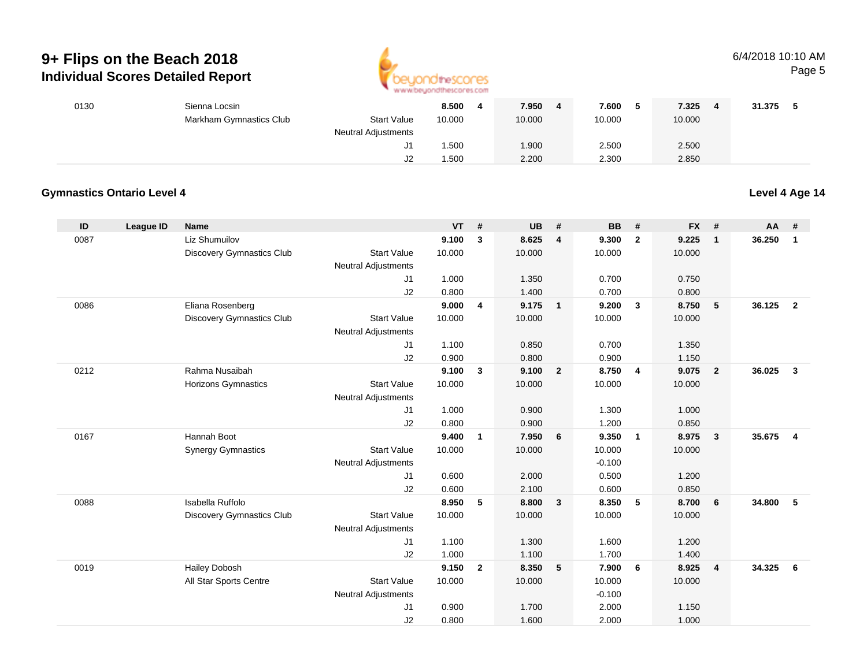

#### 6/4/2018 10:10 AMPage 5

| 0130 | Sienna Locsin           |                     | 8.500  | 7.950  | 7.600  | 7.325<br>4 | 31.375 |
|------|-------------------------|---------------------|--------|--------|--------|------------|--------|
|      | Markham Gymnastics Club | <b>Start Value</b>  | 10.000 | 10.000 | 10.000 | 10.000     |        |
|      |                         | Neutral Adjustments |        |        |        |            |        |
|      |                         | ປ∣                  | .500   | 1.900  | 2.500  | 2.500      |        |
|      |                         | J2                  | .500   | 2.200  | 2.300  | 2.850      |        |

#### **Gymnastics Ontario Level 4**

| ID   | League ID | Name                             |                            | VT     | #              | <b>UB</b> | #                       | <b>BB</b> | #              | <b>FX</b> | #              | <b>AA</b> | #              |
|------|-----------|----------------------------------|----------------------------|--------|----------------|-----------|-------------------------|-----------|----------------|-----------|----------------|-----------|----------------|
| 0087 |           | Liz Shumuilov                    |                            | 9.100  | 3              | 8.625     | $\overline{\mathbf{4}}$ | 9.300     | $\overline{2}$ | 9.225     | $\mathbf{1}$   | 36.250    | $\mathbf{1}$   |
|      |           | Discovery Gymnastics Club        | <b>Start Value</b>         | 10.000 |                | 10.000    |                         | 10.000    |                | 10.000    |                |           |                |
|      |           |                                  | <b>Neutral Adjustments</b> |        |                |           |                         |           |                |           |                |           |                |
|      |           |                                  | J1                         | 1.000  |                | 1.350     |                         | 0.700     |                | 0.750     |                |           |                |
|      |           |                                  | J2                         | 0.800  |                | 1.400     |                         | 0.700     |                | 0.800     |                |           |                |
| 0086 |           | Eliana Rosenberg                 |                            | 9.000  | 4              | 9.175     | $\overline{1}$          | 9.200     | $\mathbf{3}$   | 8.750     | 5              | 36.125    | $\overline{2}$ |
|      |           | Discovery Gymnastics Club        | <b>Start Value</b>         | 10.000 |                | 10.000    |                         | 10.000    |                | 10.000    |                |           |                |
|      |           |                                  | <b>Neutral Adjustments</b> |        |                |           |                         |           |                |           |                |           |                |
|      |           |                                  | J1                         | 1.100  |                | 0.850     |                         | 0.700     |                | 1.350     |                |           |                |
|      |           |                                  | J2                         | 0.900  |                | 0.800     |                         | 0.900     |                | 1.150     |                |           |                |
| 0212 |           | Rahma Nusaibah                   |                            | 9.100  | $\mathbf{3}$   | 9.100     | $\overline{2}$          | 8.750     | $\overline{4}$ | 9.075     | $\overline{2}$ | 36.025    | $\mathbf{3}$   |
|      |           | <b>Horizons Gymnastics</b>       | <b>Start Value</b>         | 10.000 |                | 10.000    |                         | 10.000    |                | 10.000    |                |           |                |
|      |           |                                  | <b>Neutral Adjustments</b> |        |                |           |                         |           |                |           |                |           |                |
|      |           |                                  | J1                         | 1.000  |                | 0.900     |                         | 1.300     |                | 1.000     |                |           |                |
|      |           |                                  | J2                         | 0.800  |                | 0.900     |                         | 1.200     |                | 0.850     |                |           |                |
| 0167 |           | Hannah Boot                      |                            | 9.400  | $\mathbf{1}$   | 7.950     | 6                       | 9.350     | $\overline{1}$ | 8.975     | $\mathbf{3}$   | 35.675    | $\overline{4}$ |
|      |           | <b>Synergy Gymnastics</b>        | <b>Start Value</b>         | 10.000 |                | 10.000    |                         | 10.000    |                | 10.000    |                |           |                |
|      |           |                                  | Neutral Adjustments        |        |                |           |                         | $-0.100$  |                |           |                |           |                |
|      |           |                                  | J1                         | 0.600  |                | 2.000     |                         | 0.500     |                | 1.200     |                |           |                |
|      |           |                                  | J2                         | 0.600  |                | 2.100     |                         | 0.600     |                | 0.850     |                |           |                |
| 0088 |           | Isabella Ruffolo                 |                            | 8.950  | 5              | 8.800     | $\mathbf{3}$            | 8.350     | 5              | 8.700     | 6              | 34.800    | 5              |
|      |           | <b>Discovery Gymnastics Club</b> | <b>Start Value</b>         | 10.000 |                | 10.000    |                         | 10.000    |                | 10.000    |                |           |                |
|      |           |                                  | <b>Neutral Adjustments</b> |        |                |           |                         |           |                |           |                |           |                |
|      |           |                                  | J1                         | 1.100  |                | 1.300     |                         | 1.600     |                | 1.200     |                |           |                |
|      |           |                                  | J2                         | 1.000  |                | 1.100     |                         | 1.700     |                | 1.400     |                |           |                |
| 0019 |           | Hailey Dobosh                    |                            | 9.150  | $\overline{2}$ | 8.350     | 5                       | 7.900     | - 6            | 8.925     | $\overline{4}$ | 34.325    | 6              |
|      |           | All Star Sports Centre           | <b>Start Value</b>         | 10.000 |                | 10.000    |                         | 10.000    |                | 10.000    |                |           |                |
|      |           |                                  | <b>Neutral Adjustments</b> |        |                |           |                         | $-0.100$  |                |           |                |           |                |
|      |           |                                  | J1                         | 0.900  |                | 1.700     |                         | 2.000     |                | 1.150     |                |           |                |
|      |           |                                  | J2                         | 0.800  |                | 1.600     |                         | 2.000     |                | 1.000     |                |           |                |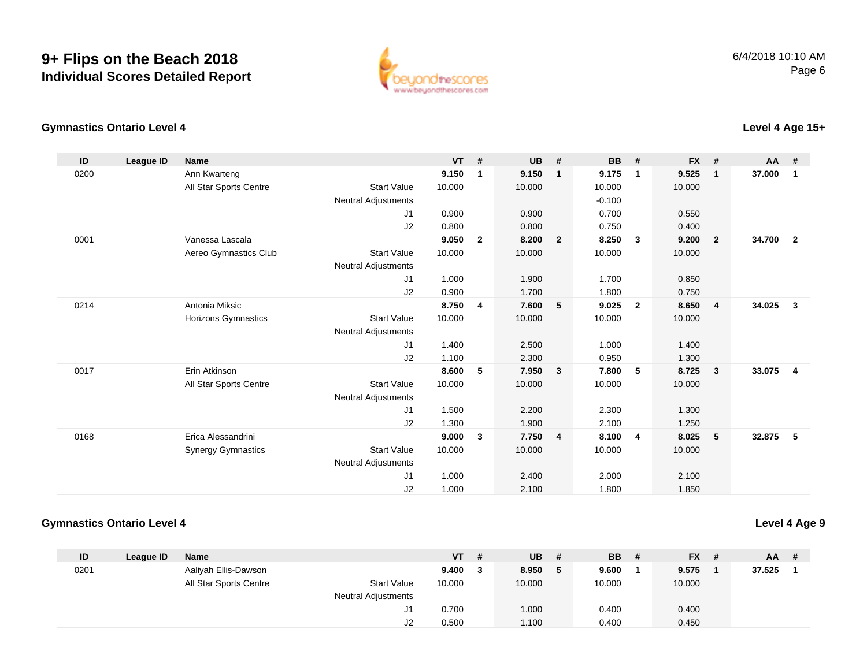

#### **Gymnastics Ontario Level 4Level 4 Age 15+**

| ID   | League ID | Name                      |                            | VT     | #              | UB     | #              | <b>BB</b> | #              | FX #   |                | AA #   |                         |
|------|-----------|---------------------------|----------------------------|--------|----------------|--------|----------------|-----------|----------------|--------|----------------|--------|-------------------------|
| 0200 |           | Ann Kwarteng              |                            | 9.150  | $\overline{1}$ | 9.150  | $\mathbf{1}$   | 9.175     | 1              | 9.525  | $\mathbf{1}$   | 37.000 | $\overline{\mathbf{1}}$ |
|      |           | All Star Sports Centre    | <b>Start Value</b>         | 10.000 |                | 10.000 |                | 10.000    |                | 10.000 |                |        |                         |
|      |           |                           | <b>Neutral Adjustments</b> |        |                |        |                | $-0.100$  |                |        |                |        |                         |
|      |           |                           | J <sub>1</sub>             | 0.900  |                | 0.900  |                | 0.700     |                | 0.550  |                |        |                         |
|      |           |                           | J2                         | 0.800  |                | 0.800  |                | 0.750     |                | 0.400  |                |        |                         |
| 0001 |           | Vanessa Lascala           |                            | 9.050  | $\overline{2}$ | 8.200  | $\overline{2}$ | 8.250     | 3              | 9.200  | $\overline{2}$ | 34.700 | $\overline{2}$          |
|      |           | Aereo Gymnastics Club     | <b>Start Value</b>         | 10.000 |                | 10.000 |                | 10.000    |                | 10.000 |                |        |                         |
|      |           |                           | <b>Neutral Adjustments</b> |        |                |        |                |           |                |        |                |        |                         |
|      |           |                           | J <sub>1</sub>             | 1.000  |                | 1.900  |                | 1.700     |                | 0.850  |                |        |                         |
|      |           |                           | J2                         | 0.900  |                | 1.700  |                | 1.800     |                | 0.750  |                |        |                         |
| 0214 |           | Antonia Miksic            |                            | 8.750  | -4             | 7.600  | 5              | 9.025     | $\overline{2}$ | 8.650  | $\overline{4}$ | 34.025 | $\mathbf{3}$            |
|      |           | Horizons Gymnastics       | <b>Start Value</b>         | 10.000 |                | 10.000 |                | 10.000    |                | 10.000 |                |        |                         |
|      |           |                           | <b>Neutral Adjustments</b> |        |                |        |                |           |                |        |                |        |                         |
|      |           |                           | J <sub>1</sub>             | 1.400  |                | 2.500  |                | 1.000     |                | 1.400  |                |        |                         |
|      |           |                           | J2                         | 1.100  |                | 2.300  |                | 0.950     |                | 1.300  |                |        |                         |
| 0017 |           | Erin Atkinson             |                            | 8.600  | 5              | 7.950  | $\mathbf{3}$   | 7.800     | 5              | 8.725  | 3              | 33.075 | $\overline{\mathbf{4}}$ |
|      |           | All Star Sports Centre    | <b>Start Value</b>         | 10.000 |                | 10.000 |                | 10.000    |                | 10.000 |                |        |                         |
|      |           |                           | <b>Neutral Adjustments</b> |        |                |        |                |           |                |        |                |        |                         |
|      |           |                           | J <sub>1</sub>             | 1.500  |                | 2.200  |                | 2.300     |                | 1.300  |                |        |                         |
|      |           |                           | J2                         | 1.300  |                | 1.900  |                | 2.100     |                | 1.250  |                |        |                         |
| 0168 |           | Erica Alessandrini        |                            | 9.000  | $\mathbf{3}$   | 7.750  | $\overline{4}$ | 8.100     | 4              | 8.025  | 5              | 32.875 | 5                       |
|      |           | <b>Synergy Gymnastics</b> | <b>Start Value</b>         | 10.000 |                | 10.000 |                | 10.000    |                | 10.000 |                |        |                         |
|      |           |                           | <b>Neutral Adjustments</b> |        |                |        |                |           |                |        |                |        |                         |
|      |           |                           | J <sub>1</sub>             | 1.000  |                | 2.400  |                | 2.000     |                | 2.100  |                |        |                         |
|      |           |                           | J2                         | 1.000  |                | 2.100  |                | 1.800     |                | 1.850  |                |        |                         |

#### **Gymnastics Ontario Level 4**

| ID   | League ID | <b>Name</b>            |                            | <b>VT</b> | -# | <b>UB</b> | # | <b>BB</b> | # | <b>FX</b> | $AA$ # |  |
|------|-----------|------------------------|----------------------------|-----------|----|-----------|---|-----------|---|-----------|--------|--|
| 0201 |           | Aaliyah Ellis-Dawson   |                            | 9.400     |    | 8.950     | 5 | 9.600     |   | 9.575     | 37.525 |  |
|      |           | All Star Sports Centre | <b>Start Value</b>         | 10.000    |    | 10.000    |   | 10.000    |   | 10.000    |        |  |
|      |           |                        | <b>Neutral Adjustments</b> |           |    |           |   |           |   |           |        |  |
|      |           |                        | J1                         | 0.700     |    | 1.000     |   | 0.400     |   | 0.400     |        |  |
|      |           |                        | J2                         | 0.500     |    | 1.100     |   | 0.400     |   | 0.450     |        |  |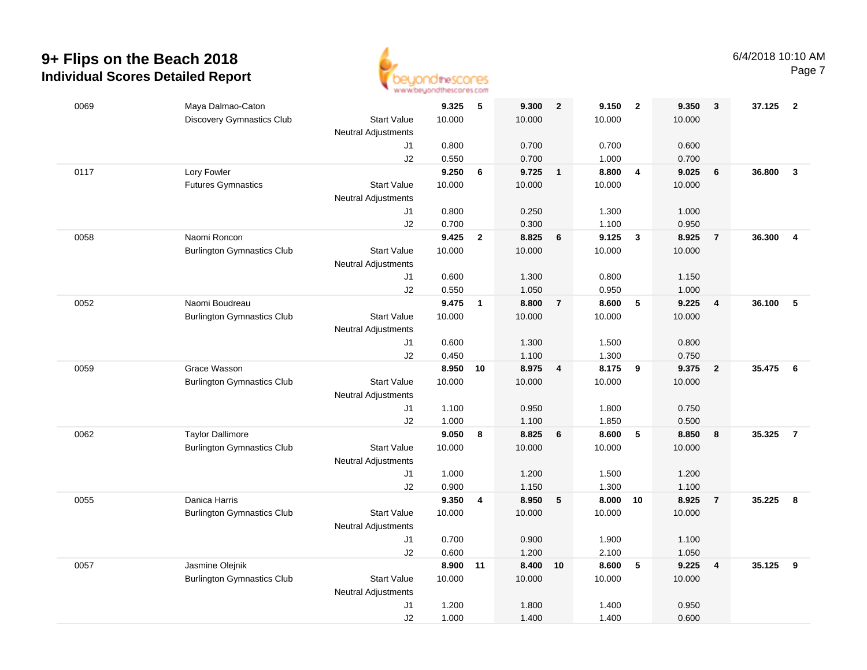

| 0069 | Maya Dalmao-Caton                 |                            | 9.325    | 5            | 9.300  | $\overline{\mathbf{2}}$ | 9.150  | $\overline{\mathbf{2}}$ | 9.350  | 3                       | 37.125 | $\overline{\mathbf{2}}$ |
|------|-----------------------------------|----------------------------|----------|--------------|--------|-------------------------|--------|-------------------------|--------|-------------------------|--------|-------------------------|
|      | <b>Discovery Gymnastics Club</b>  | <b>Start Value</b>         | 10.000   |              | 10.000 |                         | 10.000 |                         | 10.000 |                         |        |                         |
|      |                                   | <b>Neutral Adjustments</b> |          |              |        |                         |        |                         |        |                         |        |                         |
|      |                                   | J1                         | 0.800    |              | 0.700  |                         | 0.700  |                         | 0.600  |                         |        |                         |
|      |                                   | J2                         | 0.550    |              | 0.700  |                         | 1.000  |                         | 0.700  |                         |        |                         |
| 0117 | Lory Fowler                       |                            | 9.250    | 6            | 9.725  | $\overline{\mathbf{1}}$ | 8.800  | $\overline{4}$          | 9.025  | 6                       | 36.800 | $\mathbf{3}$            |
|      | <b>Futures Gymnastics</b>         | <b>Start Value</b>         | 10.000   |              | 10.000 |                         | 10.000 |                         | 10.000 |                         |        |                         |
|      |                                   | <b>Neutral Adjustments</b> |          |              |        |                         |        |                         |        |                         |        |                         |
|      |                                   | J1                         | 0.800    |              | 0.250  |                         | 1.300  |                         | 1.000  |                         |        |                         |
|      |                                   | J2                         | 0.700    |              | 0.300  |                         | 1.100  |                         | 0.950  |                         |        |                         |
| 0058 | Naomi Roncon                      |                            | 9.425    | $\mathbf{2}$ | 8.825  | 6                       | 9.125  | $\overline{\mathbf{3}}$ | 8.925  | $\overline{7}$          | 36.300 | $\overline{4}$          |
|      | <b>Burlington Gymnastics Club</b> | <b>Start Value</b>         | 10.000   |              | 10.000 |                         | 10.000 |                         | 10.000 |                         |        |                         |
|      |                                   | <b>Neutral Adjustments</b> |          |              |        |                         |        |                         |        |                         |        |                         |
|      |                                   | J1                         | 0.600    |              | 1.300  |                         | 0.800  |                         | 1.150  |                         |        |                         |
|      |                                   | J2                         | 0.550    |              | 1.050  |                         | 0.950  |                         | 1.000  |                         |        |                         |
| 0052 | Naomi Boudreau                    |                            | 9.475    | $\mathbf{1}$ | 8.800  | $\overline{7}$          | 8.600  | $\sqrt{5}$              | 9.225  | $\overline{\mathbf{4}}$ | 36.100 | 5                       |
|      | <b>Burlington Gymnastics Club</b> | <b>Start Value</b>         | 10.000   |              | 10.000 |                         | 10.000 |                         | 10.000 |                         |        |                         |
|      |                                   | <b>Neutral Adjustments</b> |          |              |        |                         |        |                         |        |                         |        |                         |
|      |                                   | J1                         | 0.600    |              | 1.300  |                         | 1.500  |                         | 0.800  |                         |        |                         |
|      |                                   | J2                         | 0.450    |              | 1.100  |                         | 1.300  |                         | 0.750  |                         |        |                         |
| 0059 | Grace Wasson                      |                            | 8.950    | 10           | 8.975  | $\overline{4}$          | 8.175  | 9                       | 9.375  | $\overline{2}$          | 35.475 | $6\overline{6}$         |
|      | <b>Burlington Gymnastics Club</b> | <b>Start Value</b>         | 10.000   |              | 10.000 |                         | 10.000 |                         | 10.000 |                         |        |                         |
|      |                                   | <b>Neutral Adjustments</b> |          |              |        |                         |        |                         |        |                         |        |                         |
|      |                                   | J1                         | 1.100    |              | 0.950  |                         | 1.800  |                         | 0.750  |                         |        |                         |
|      |                                   | J2                         | 1.000    |              | 1.100  |                         | 1.850  |                         | 0.500  |                         |        |                         |
| 0062 | <b>Taylor Dallimore</b>           |                            | 9.050    | 8            | 8.825  | 6                       | 8.600  | 5                       | 8.850  | 8                       | 35.325 | $\overline{7}$          |
|      | <b>Burlington Gymnastics Club</b> | <b>Start Value</b>         | 10.000   |              | 10.000 |                         | 10.000 |                         | 10.000 |                         |        |                         |
|      |                                   | <b>Neutral Adjustments</b> |          |              |        |                         |        |                         |        |                         |        |                         |
|      |                                   | J1                         | 1.000    |              | 1.200  |                         | 1.500  |                         | 1.200  |                         |        |                         |
|      |                                   | J2                         | 0.900    |              | 1.150  |                         | 1.300  |                         | 1.100  |                         |        |                         |
| 0055 | Danica Harris                     |                            | 9.350    | 4            | 8.950  | $5\phantom{.0}$         | 8.000  | 10                      | 8.925  | $\overline{7}$          | 35.225 | 8                       |
|      | <b>Burlington Gymnastics Club</b> | <b>Start Value</b>         | 10.000   |              | 10.000 |                         | 10.000 |                         | 10.000 |                         |        |                         |
|      |                                   | <b>Neutral Adjustments</b> |          |              |        |                         |        |                         |        |                         |        |                         |
|      |                                   | J1                         | 0.700    |              | 0.900  |                         | 1.900  |                         | 1.100  |                         |        |                         |
|      |                                   | J2                         | 0.600    |              | 1.200  |                         | 2.100  |                         | 1.050  |                         |        |                         |
| 0057 | Jasmine Olejnik                   |                            | 8.900 11 |              | 8.400  | 10                      | 8.600  | 5                       | 9.225  | $\overline{\mathbf{4}}$ | 35.125 | $\overline{\mathbf{9}}$ |
|      | <b>Burlington Gymnastics Club</b> | <b>Start Value</b>         | 10.000   |              | 10.000 |                         | 10.000 |                         | 10.000 |                         |        |                         |
|      |                                   | <b>Neutral Adjustments</b> |          |              |        |                         |        |                         |        |                         |        |                         |
|      |                                   | J1                         | 1.200    |              | 1.800  |                         | 1.400  |                         | 0.950  |                         |        |                         |
|      |                                   | J2                         | 1.000    |              | 1.400  |                         | 1.400  |                         | 0.600  |                         |        |                         |